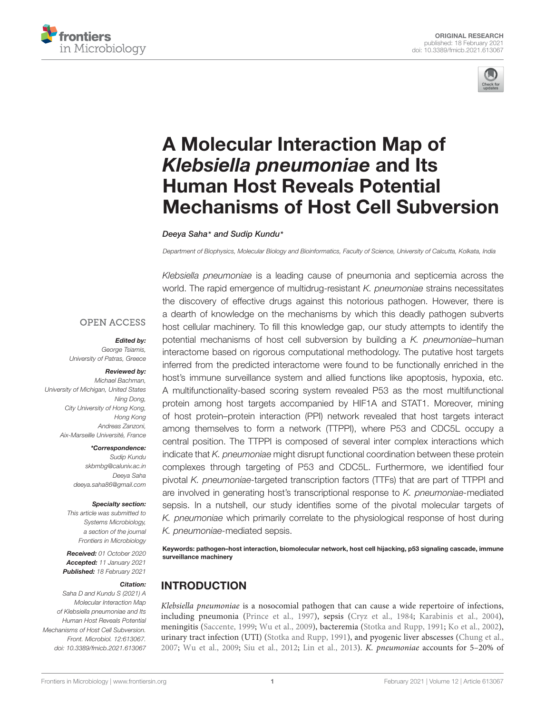



# A Molecular Interaction Map of *Klebsiella pneumoniae* and Its Human Host Reveals Potential Mechanisms of Host Cell Subversion

#### Deeya Saha\* and Sudip Kundu\*

Department of Biophysics, Molecular Biology and Bioinformatics, Faculty of Science, University of Calcutta, Kolkata, India

**OPEN ACCESS** 

#### *Edited by:*

George Tsiamis, University of Patras, Greece

#### *Reviewed by:*

Michael Bachman, University of Michigan, United States Ning Dong, City University of Hong Kong, Hong Kong Andreas Zanzoni, Aix-Marseille Université, France

*\*Correspondence:*

Sudip Kundu skbmbg@caluniv.ac.in Deeya Saha deeya.saha86@gmail.com

#### *Specialty section:*

This article was submitted to Systems Microbiology, a section of the journal Frontiers in Microbiology

*Received:* 01 October 2020 *Accepted:* 11 January 2021 *Published:* 18 February 2021

#### *Citation:*

Saha D and Kundu S (2021) A Molecular Interaction Map of Klebsiella pneumoniae and Its Human Host Reveals Potential Mechanisms of Host Cell Subversion. Front. Microbiol. 12:613067. doi: 10.3389/fmicb.2021.613067

Klebsiella pneumoniae is a leading cause of pneumonia and septicemia across the world. The rapid emergence of multidrug-resistant K. pneumoniae strains necessitates the discovery of effective drugs against this notorious pathogen. However, there is a dearth of knowledge on the mechanisms by which this deadly pathogen subverts host cellular machinery. To fill this knowledge gap, our study attempts to identify the potential mechanisms of host cell subversion by building a  $K$ . pneumoniae–human interactome based on rigorous computational methodology. The putative host targets inferred from the predicted interactome were found to be functionally enriched in the host's immune surveillance system and allied functions like apoptosis, hypoxia, etc. A multifunctionality-based scoring system revealed P53 as the most multifunctional protein among host targets accompanied by HIF1A and STAT1. Moreover, mining of host protein–protein interaction (PPI) network revealed that host targets interact among themselves to form a network (TTPPI), where P53 and CDC5L occupy a central position. The TTPPI is composed of several inter complex interactions which indicate that K. pneumoniae might disrupt functional coordination between these protein complexes through targeting of P53 and CDC5L. Furthermore, we identified four pivotal K. pneumoniae-targeted transcription factors (TTFs) that are part of TTPPI and are involved in generating host's transcriptional response to K. pneumoniae-mediated sepsis. In a nutshell, our study identifies some of the pivotal molecular targets of K. pneumoniae which primarily correlate to the physiological response of host during K. pneumoniae-mediated sepsis.

Keywords: pathogen–host interaction, biomolecular network, host cell hijacking, p53 signaling cascade, immune surveillance machinery

# INTRODUCTION

Klebsiella pneumoniae is a nosocomial pathogen that can cause a wide repertoire of infections, including pneumonia (Prince et al., 1997), sepsis (Cryz et al., 1984; Karabinis et al., 2004), meningitis (Saccente, 1999; Wu et al., 2009), bacteremia (Stotka and Rupp, 1991; Ko et al., 2002), urinary tract infection (UTI) (Stotka and Rupp, 1991), and pyogenic liver abscesses (Chung et al., 2007; Wu et al., 2009; Siu et al., 2012; Lin et al., 2013). K. pneumoniae accounts for 5–20% of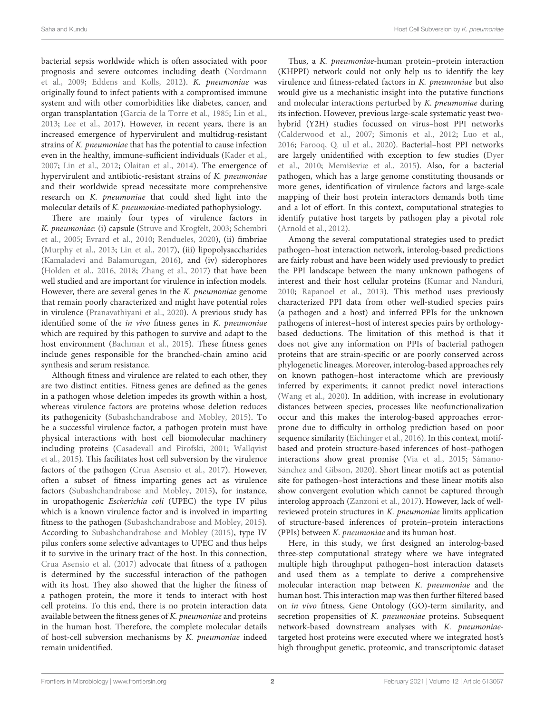bacterial sepsis worldwide which is often associated with poor prognosis and severe outcomes including death (Nordmann et al., 2009; Eddens and Kolls, 2012). K. pneumoniae was originally found to infect patients with a compromised immune system and with other comorbidities like diabetes, cancer, and organ transplantation (Garcia de la Torre et al., 1985; Lin et al., 2013; Lee et al., 2017). However, in recent years, there is an increased emergence of hypervirulent and multidrug-resistant strains of K. pneumoniae that has the potential to cause infection even in the healthy, immune-sufficient individuals (Kader et al., 2007; Lin et al., 2012; Olaitan et al., 2014). The emergence of hypervirulent and antibiotic-resistant strains of K. pneumoniae and their worldwide spread necessitate more comprehensive research on K. pneumoniae that could shed light into the molecular details of K. pneumoniae-mediated pathophysiology.

There are mainly four types of virulence factors in K. pneumoniae: (i) capsule (Struve and Krogfelt, 2003; Schembri et al., 2005; Evrard et al., 2010; Rendueles, 2020), (ii) fimbriae (Murphy et al., 2013; Lin et al., 2017), (iii) lipopolysaccharides (Kamaladevi and Balamurugan, 2016), and (iv) siderophores (Holden et al., 2016, 2018; Zhang et al., 2017) that have been well studied and are important for virulence in infection models. However, there are several genes in the K. pneumoniae genome that remain poorly characterized and might have potential roles in virulence (Pranavathiyani et al., 2020). A previous study has identified some of the *in vivo* fitness genes in *K. pneumoniae* which are required by this pathogen to survive and adapt to the host environment (Bachman et al., 2015). These fitness genes include genes responsible for the branched-chain amino acid synthesis and serum resistance.

Although fitness and virulence are related to each other, they are two distinct entities. Fitness genes are defined as the genes in a pathogen whose deletion impedes its growth within a host, whereas virulence factors are proteins whose deletion reduces its pathogenicity (Subashchandrabose and Mobley, 2015). To be a successful virulence factor, a pathogen protein must have physical interactions with host cell biomolecular machinery including proteins (Casadevall and Pirofski, 2001; Wallqvist et al., 2015). This facilitates host cell subversion by the virulence factors of the pathogen (Crua Asensio et al., 2017). However, often a subset of fitness imparting genes act as virulence factors (Subashchandrabose and Mobley, 2015), for instance, in uropathogenic Escherichia coli (UPEC) the type IV pilus which is a known virulence factor and is involved in imparting fitness to the pathogen (Subashchandrabose and Mobley, 2015). According to Subashchandrabose and Mobley (2015), type IV pilus confers some selective advantages to UPEC and thus helps it to survive in the urinary tract of the host. In this connection, Crua Asensio et al. (2017) advocate that fitness of a pathogen is determined by the successful interaction of the pathogen with its host. They also showed that the higher the fitness of a pathogen protein, the more it tends to interact with host cell proteins. To this end, there is no protein interaction data available between the fitness genes of K. pneumoniae and proteins in the human host. Therefore, the complete molecular details of host-cell subversion mechanisms by K. pneumoniae indeed remain unidentified.

Thus, a K. pneumoniae-human protein–protein interaction (KHPPI) network could not only help us to identify the key virulence and fitness-related factors in K. pneumoniae but also would give us a mechanistic insight into the putative functions and molecular interactions perturbed by K. pneumoniae during its infection. However, previous large-scale systematic yeast twohybrid (Y2H) studies focussed on virus–host PPI networks (Calderwood et al., 2007; Simonis et al., 2012; Luo et al., 2016; Farooq, Q. ul et al., 2020). Bacterial–host PPI networks are largely unidentified with exception to few studies (Dyer et al., 2010; Memiševiæ et al., 2015). Also, for a bacterial pathogen, which has a large genome constituting thousands or more genes, identification of virulence factors and large-scale mapping of their host protein interactors demands both time and a lot of effort. In this context, computational strategies to identify putative host targets by pathogen play a pivotal role (Arnold et al., 2012).

Among the several computational strategies used to predict pathogen–host interaction network, interolog-based predictions are fairly robust and have been widely used previously to predict the PPI landscape between the many unknown pathogens of interest and their host cellular proteins (Kumar and Nanduri, 2010; Rapanoel et al., 2013). This method uses previously characterized PPI data from other well-studied species pairs (a pathogen and a host) and inferred PPIs for the unknown pathogens of interest–host of interest species pairs by orthologybased deductions. The limitation of this method is that it does not give any information on PPIs of bacterial pathogen proteins that are strain-specific or are poorly conserved across phylogenetic lineages. Moreover, interolog-based approaches rely on known pathogen–host interactome which are previously inferred by experiments; it cannot predict novel interactions (Wang et al., 2020). In addition, with increase in evolutionary distances between species, processes like neofunctionalization occur and this makes the interolog-based approaches errorprone due to difficulty in ortholog prediction based on poor sequence similarity (Eichinger et al., 2016). In this context, motifbased and protein structure-based inferences of host–pathogen interactions show great promise (Via et al., 2015; Sámano-Sánchez and Gibson, 2020). Short linear motifs act as potential site for pathogen–host interactions and these linear motifs also show convergent evolution which cannot be captured through interolog approach (Zanzoni et al., 2017). However, lack of wellreviewed protein structures in K. pneumoniae limits application of structure-based inferences of protein–protein interactions (PPIs) between K. pneumoniae and its human host.

Here, in this study, we first designed an interolog-based three-step computational strategy where we have integrated multiple high throughput pathogen–host interaction datasets and used them as a template to derive a comprehensive molecular interaction map between K. pneumoniae and the human host. This interaction map was then further filtered based on in vivo fitness, Gene Ontology (GO)-term similarity, and secretion propensities of K. pneumoniae proteins. Subsequent network-based downstream analyses with K. pneumoniaetargeted host proteins were executed where we integrated host's high throughput genetic, proteomic, and transcriptomic dataset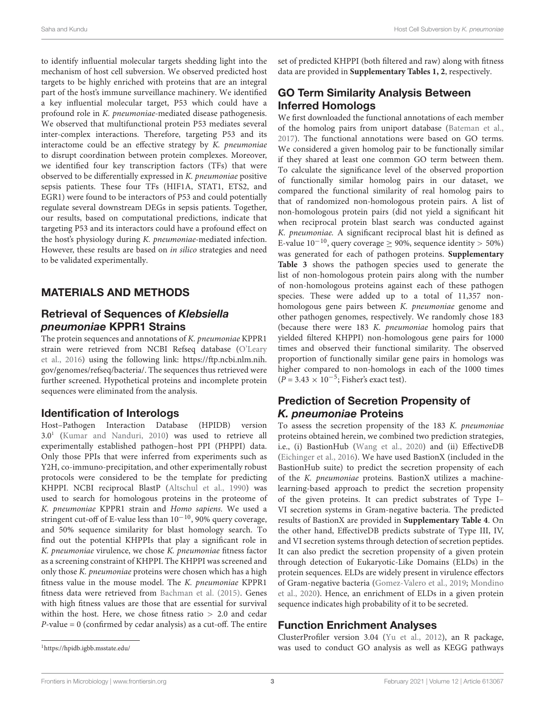to identify influential molecular targets shedding light into the mechanism of host cell subversion. We observed predicted host targets to be highly enriched with proteins that are an integral part of the host's immune surveillance machinery. We identified a key influential molecular target, P53 which could have a profound role in K. pneumoniae-mediated disease pathogenesis. We observed that multifunctional protein P53 mediates several inter-complex interactions. Therefore, targeting P53 and its interactome could be an effective strategy by K. pneumoniae to disrupt coordination between protein complexes. Moreover, we identified four key transcription factors (TFs) that were observed to be differentially expressed in K. pneumoniae positive sepsis patients. These four TFs (HIF1A, STAT1, ETS2, and EGR1) were found to be interactors of P53 and could potentially regulate several downstream DEGs in sepsis patients. Together, our results, based on computational predictions, indicate that targeting P53 and its interactors could have a profound effect on the host's physiology during K. pneumoniae-mediated infection. However, these results are based on in silico strategies and need to be validated experimentally.

# MATERIALS AND METHODS

### Retrieval of Sequences of *Klebsiella pneumoniae* KPPR1 Strains

The protein sequences and annotations of K. pneumoniae KPPR1 strain were retrieved from NCBI Refseq database (O'Leary et al., 2016) using the following link: https://ftp.ncbi.nlm.nih. gov/genomes/refseq/bacteria/. The sequences thus retrieved were further screened. Hypothetical proteins and incomplete protein sequences were eliminated from the analysis.

### Identification of Interologs

Host–Pathogen Interaction Database (HPIDB) version 3.0<sup>1</sup> (Kumar and Nanduri, 2010) was used to retrieve all experimentally established pathogen–host PPI (PHPPI) data. Only those PPIs that were inferred from experiments such as Y2H, co-immuno-precipitation, and other experimentally robust protocols were considered to be the template for predicting KHPPI. NCBI reciprocal BlastP (Altschul et al., 1990) was used to search for homologous proteins in the proteome of K. pneumoniae KPPR1 strain and Homo sapiens. We used a stringent cut-off of E-value less than 10−10, 90% query coverage, and 50% sequence similarity for blast homology search. To find out the potential KHPPIs that play a significant role in K. pneumoniae virulence, we chose K. pneumoniae fitness factor as a screening constraint of KHPPI. The KHPPI was screened and only those K. pneumoniae proteins were chosen which has a high fitness value in the mouse model. The K. pneumoniae KPPR1 fitness data were retrieved from Bachman et al. (2015). Genes with high fitness values are those that are essential for survival within the host. Here, we chose fitness ratio > 2.0 and cedar  $P$ -value = 0 (confirmed by cedar analysis) as a cut-off. The entire

# GO Term Similarity Analysis Between Inferred Homologs

We first downloaded the functional annotations of each member of the homolog pairs from uniport database (Bateman et al., 2017). The functional annotations were based on GO terms. We considered a given homolog pair to be functionally similar if they shared at least one common GO term between them. To calculate the significance level of the observed proportion of functionally similar homolog pairs in our dataset, we compared the functional similarity of real homolog pairs to that of randomized non-homologous protein pairs. A list of non-homologous protein pairs (did not yield a significant hit when reciprocal protein blast search was conducted against K. pneumoniae. A significant reciprocal blast hit is defined as E-value  $10^{-10}$ , query coverage  $\geq$  90%, sequence identity > 50%) was generated for each of pathogen proteins. **Supplementary Table 3** shows the pathogen species used to generate the list of non-homologous protein pairs along with the number of non-homologous proteins against each of these pathogen species. These were added up to a total of 11,357 nonhomologous gene pairs between K. pneumoniae genome and other pathogen genomes, respectively. We randomly chose 183 (because there were 183 K. pneumoniae homolog pairs that yielded filtered KHPPI) non-homologous gene pairs for 1000 times and observed their functional similarity. The observed proportion of functionally similar gene pairs in homologs was higher compared to non-homologs in each of the 1000 times  $(P = 3.43 \times 10^{-5}$ ; Fisher's exact test).

# Prediction of Secretion Propensity of *K. pneumoniae* Proteins

To assess the secretion propensity of the 183 K. pneumoniae proteins obtained herein, we combined two prediction strategies, i.e., (i) BastionHub (Wang et al., 2020) and (ii) EffectiveDB (Eichinger et al., 2016). We have used BastionX (included in the BastionHub suite) to predict the secretion propensity of each of the K. pneumoniae proteins. BastionX utilizes a machinelearning-based approach to predict the secretion propensity of the given proteins. It can predict substrates of Type I– VI secretion systems in Gram-negative bacteria. The predicted results of BastionX are provided in **Supplementary Table 4**. On the other hand, EffectiveDB predicts substrate of Type III, IV, and VI secretion systems through detection of secretion peptides. It can also predict the secretion propensity of a given protein through detection of Eukaryotic-Like Domains (ELDs) in the protein sequences. ELDs are widely present in virulence effectors of Gram-negative bacteria (Gomez-Valero et al., 2019; Mondino et al., 2020). Hence, an enrichment of ELDs in a given protein sequence indicates high probability of it to be secreted.

# Function Enrichment Analyses

ClusterProfiler version 3.04 (Yu et al., 2012), an R package, was used to conduct GO analysis as well as KEGG pathways

set of predicted KHPPI (both filtered and raw) along with fitness data are provided in **Supplementary Tables 1, 2**, respectively.

<sup>1</sup>https://hpidb.igbb.msstate.edu/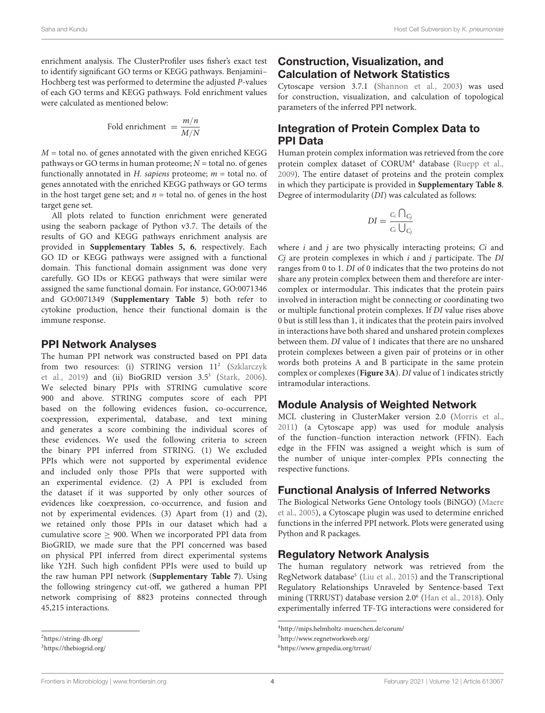enrichment analysis. The ClusterProfiler uses fisher's exact test to identify significant GO terms or KEGG pathways. Benjamini– Hochberg test was performed to determine the adjusted P-values of each GO terms and KEGG pathways. Fold enrichment values were calculated as mentioned below:

Fold enrichment = 
$$
\frac{m/n}{M/N}
$$

 $M =$  total no. of genes annotated with the given enriched KEGG pathways or GO terms in human proteome;  $N =$  total no. of genes functionally annotated in H. sapiens proteome;  $m =$  total no. of genes annotated with the enriched KEGG pathways or GO terms in the host target gene set; and  $n =$  total no. of genes in the host target gene set.

All plots related to function enrichment were generated using the seaborn package of Python v3.7. The details of the results of GO and KEGG pathways enrichment analysis are provided in **Supplementary Tables 5, 6**, respectively. Each GO ID or KEGG pathways were assigned with a functional domain. This functional domain assignment was done very carefully. GO IDs or KEGG pathways that were similar were assigned the same functional domain. For instance, GO:0071346 and GO:0071349 (**Supplementary Table 5**) both refer to cytokine production, hence their functional domain is the immune response.

### PPI Network Analyses

The human PPI network was constructed based on PPI data from two resources: (i) STRING version 11<sup>2</sup> (Szklarczyk et al., 2019) and (ii) BioGRID version 3.5<sup>3</sup> (Stark, 2006). We selected binary PPIs with STRING cumulative score 900 and above. STRING computes score of each PPI based on the following evidences fusion, co-occurrence, coexpression, experimental, database, and text mining and generates a score combining the individual scores of these evidences. We used the following criteria to screen the binary PPI inferred from STRING. (1) We excluded PPIs which were not supported by experimental evidence and included only those PPIs that were supported with an experimental evidence. (2) A PPI is excluded from the dataset if it was supported by only other sources of evidences like coexpression, co-occurrence, and fusion and not by experimental evidences. (3) Apart from (1) and (2), we retained only those PPIs in our dataset which had a cumulative score  $\geq$  900. When we incorporated PPI data from BioGRID, we made sure that the PPI concerned was based on physical PPI inferred from direct experimental systems like Y2H. Such high confident PPIs were used to build up the raw human PPI network (**Supplementary Table 7**). Using the following stringency cut-off, we gathered a human PPI network comprising of 8823 proteins connected through 45,215 interactions.

# Construction, Visualization, and Calculation of Network Statistics

Cytoscape version 3.7.1 (Shannon et al., 2003) was used for construction, visualization, and calculation of topological parameters of the inferred PPI network.

# Integration of Protein Complex Data to PPI Data

Human protein complex information was retrieved from the core protein complex dataset of CORUM<sup>4</sup> database (Ruepp et al., 2009). The entire dataset of proteins and the protein complex in which they participate is provided in **Supplementary Table 8**. Degree of intermodularity (DI) was calculated as follows:

$$
DI = \frac{c_i \bigcap_{C_j}}{c_i \bigcup_{C_j}}
$$

where  $i$  and  $j$  are two physically interacting proteins;  $Ci$  and  $Cj$  are protein complexes in which  $i$  and  $j$  participate. The DI ranges from 0 to 1. DI of 0 indicates that the two proteins do not share any protein complex between them and therefore are intercomplex or intermodular. This indicates that the protein pairs involved in interaction might be connecting or coordinating two or multiple functional protein complexes. If DI value rises above 0 but is still less than 1, it indicates that the protein pairs involved in interactions have both shared and unshared protein complexes between them. DI value of 1 indicates that there are no unshared protein complexes between a given pair of proteins or in other words both proteins A and B participate in the same protein complex or complexes (**Figure 3A**). DI value of 1 indicates strictly intramodular interactions.

# Module Analysis of Weighted Network

MCL clustering in ClusterMaker version 2.0 (Morris et al., 2011) (a Cytoscape app) was used for module analysis of the function–function interaction network (FFIN). Each edge in the FFIN was assigned a weight which is sum of the number of unique inter-complex PPIs connecting the respective functions.

# Functional Analysis of Inferred Networks

The Biological Networks Gene Ontology tools (BiNGO) (Maere et al., 2005), a Cytoscape plugin was used to determine enriched functions in the inferred PPI network. Plots were generated using Python and R packages.

# Regulatory Network Analysis

The human regulatory network was retrieved from the RegNetwork database<sup>5</sup> (Liu et al., 2015) and the Transcriptional Regulatory Relationships Unraveled by Sentence-based Text mining (TRRUST) database version 2.0<sup>6</sup> (Han et al., 2018). Only experimentally inferred TF-TG interactions were considered for

<sup>4</sup>http://mips.helmholtz-muenchen.de/corum/

<sup>5</sup>http://www.regnetworkweb.org/

<sup>6</sup>https://www.grnpedia.org/trrust/

<sup>2</sup>https://string-db.org/

<sup>3</sup>https://thebiogrid.org/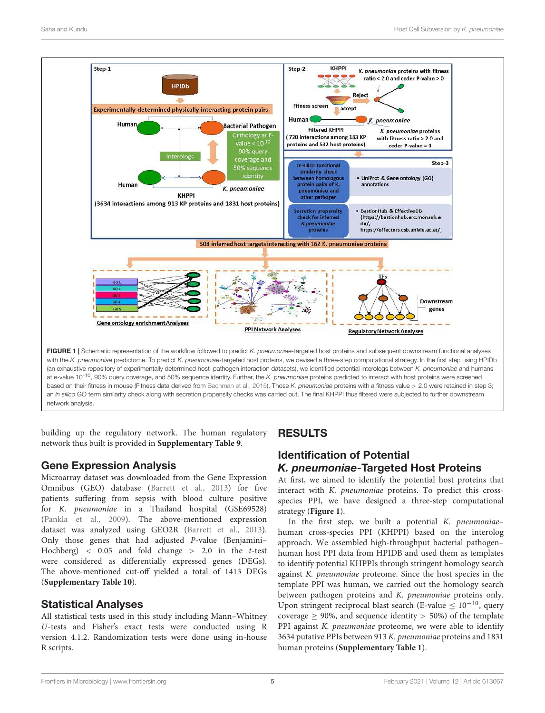

building up the regulatory network. The human regulatory network thus built is provided in **Supplementary Table 9**.

# Gene Expression Analysis

Microarray dataset was downloaded from the Gene Expression Omnibus (GEO) database (Barrett et al., 2013) for five patients suffering from sepsis with blood culture positive for K. pneumoniae in a Thailand hospital (GSE69528) (Pankla et al., 2009). The above-mentioned expression dataset was analyzed using GEO2R (Barrett et al., 2013). Only those genes that had adjusted P-value (Benjamini– Hochberg)  $\langle 0.05 \rangle$  and fold change  $\langle 2.0 \rangle$  in the t-test were considered as differentially expressed genes (DEGs). The above-mentioned cut-off yielded a total of 1413 DEGs (**Supplementary Table 10**).

# Statistical Analyses

All statistical tests used in this study including Mann–Whitney U-tests and Fisher's exact tests were conducted using R version 4.1.2. Randomization tests were done using in-house R scripts.

# RESULTS

# Identification of Potential *K. pneumoniae*-Targeted Host Proteins

At first, we aimed to identify the potential host proteins that interact with K. pneumoniae proteins. To predict this crossspecies PPI, we have designed a three-step computational strategy (**Figure 1**).

In the first step, we built a potential K. pneumoniae– human cross-species PPI (KHPPI) based on the interolog approach. We assembled high-throughput bacterial pathogen– human host PPI data from HPIDB and used them as templates to identify potential KHPPIs through stringent homology search against K. pneumoniae proteome. Since the host species in the template PPI was human, we carried out the homology search between pathogen proteins and K. pneumoniae proteins only. Upon stringent reciprocal blast search (E-value  $\leq 10^{-10}$ , query coverage  $\geq$  90%, and sequence identity  $>$  50%) of the template PPI against K. pneumoniae proteome, we were able to identify 3634 putative PPIs between 913 K. pneumoniae proteins and 1831 human proteins (**Supplementary Table 1**).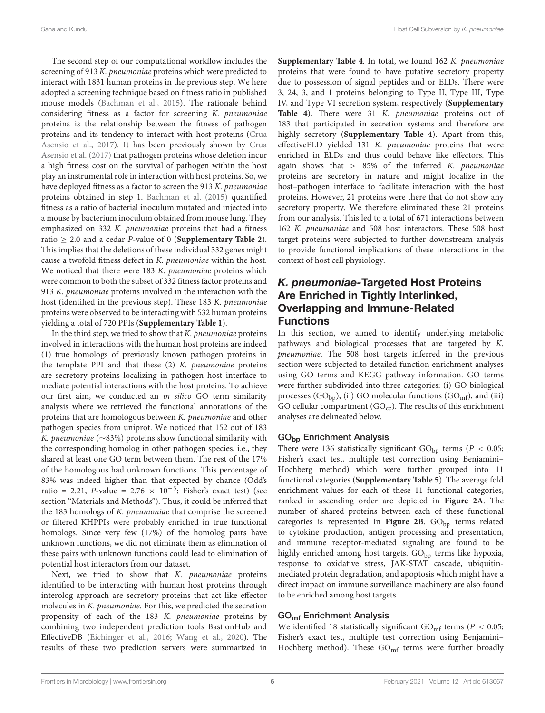The second step of our computational workflow includes the screening of 913 K. pneumoniae proteins which were predicted to interact with 1831 human proteins in the previous step. We here adopted a screening technique based on fitness ratio in published mouse models (Bachman et al., 2015). The rationale behind considering fitness as a factor for screening K. pneumoniae proteins is the relationship between the fitness of pathogen proteins and its tendency to interact with host proteins (Crua Asensio et al., 2017). It has been previously shown by Crua Asensio et al. (2017) that pathogen proteins whose deletion incur a high fitness cost on the survival of pathogen within the host play an instrumental role in interaction with host proteins. So, we have deployed fitness as a factor to screen the 913 K. pneumoniae proteins obtained in step 1. Bachman et al. (2015) quantified fitness as a ratio of bacterial inoculum mutated and injected into a mouse by bacterium inoculum obtained from mouse lung. They emphasized on 332 K. pneumoniae proteins that had a fitness ratio  $\geq$  2.0 and a cedar *P*-value of 0 (**Supplementary Table 2**). This implies that the deletions of these individual 332 genes might cause a twofold fitness defect in K. pneumoniae within the host. We noticed that there were 183 K. pneumoniae proteins which were common to both the subset of 332 fitness factor proteins and 913 K. *pneumoniae* proteins involved in the interaction with the host (identified in the previous step). These 183 K. pneumoniae proteins were observed to be interacting with 532 human proteins yielding a total of 720 PPIs (**Supplementary Table 1**).

In the third step, we tried to show that  $K$ . pneumoniae proteins involved in interactions with the human host proteins are indeed (1) true homologs of previously known pathogen proteins in the template PPI and that these (2) K. pneumoniae proteins are secretory proteins localizing in pathogen host interface to mediate potential interactions with the host proteins. To achieve our first aim, we conducted an in silico GO term similarity analysis where we retrieved the functional annotations of the proteins that are homologous between K. pneumoniae and other pathogen species from uniprot. We noticed that 152 out of 183 K. pneumoniae (∼83%) proteins show functional similarity with the corresponding homolog in other pathogen species, i.e., they shared at least one GO term between them. The rest of the 17% of the homologous had unknown functions. This percentage of 83% was indeed higher than that expected by chance (Odd's ratio = 2.21, P-value =  $2.76 \times 10^{-5}$ ; Fisher's exact test) (see section "Materials and Methods"). Thus, it could be inferred that the 183 homologs of K. pneumoniae that comprise the screened or filtered KHPPIs were probably enriched in true functional homologs. Since very few (17%) of the homolog pairs have unknown functions, we did not eliminate them as elimination of these pairs with unknown functions could lead to elimination of potential host interactors from our dataset.

Next, we tried to show that K. pneumoniae proteins identified to be interacting with human host proteins through interolog approach are secretory proteins that act like effector molecules in K. pneumoniae. For this, we predicted the secretion propensity of each of the 183 K. pneumoniae proteins by combining two independent prediction tools BastionHub and EffectiveDB (Eichinger et al., 2016; Wang et al., 2020). The results of these two prediction servers were summarized in

**Supplementary Table 4**. In total, we found 162 K. pneumoniae proteins that were found to have putative secretory property due to possession of signal peptides and or ELDs. There were 3, 24, 3, and 1 proteins belonging to Type II, Type III, Type IV, and Type VI secretion system, respectively (**Supplementary** Table 4). There were 31 K. *pneumoniae* proteins out of 183 that participated in secretion systems and therefore are highly secretory (**Supplementary Table 4**). Apart from this, effectiveELD yielded 131 K. pneumoniae proteins that were enriched in ELDs and thus could behave like effectors. This again shows that  $> 85\%$  of the inferred K. pneumoniae proteins are secretory in nature and might localize in the host–pathogen interface to facilitate interaction with the host proteins. However, 21 proteins were there that do not show any secretory property. We therefore eliminated these 21 proteins from our analysis. This led to a total of 671 interactions between 162 K. pneumoniae and 508 host interactors. These 508 host target proteins were subjected to further downstream analysis to provide functional implications of these interactions in the context of host cell physiology.

# *K. pneumoniae-*Targeted Host Proteins Are Enriched in Tightly Interlinked, Overlapping and Immune-Related **Functions**

In this section, we aimed to identify underlying metabolic pathways and biological processes that are targeted by K. pneumoniae. The 508 host targets inferred in the previous section were subjected to detailed function enrichment analyses using GO terms and KEGG pathway information. GO terms were further subdivided into three categories: (i) GO biological processes (GO<sub>bp</sub>), (ii) GO molecular functions (GO<sub>mf</sub>), and (iii) GO cellular compartment ( $GO_{cc}$ ). The results of this enrichment analyses are delineated below.

#### GObp Enrichment Analysis

There were 136 statistically significant  $GO_{bp}$  terms ( $P < 0.05$ ; Fisher's exact test, multiple test correction using Benjamini– Hochberg method) which were further grouped into 11 functional categories (**Supplementary Table 5**). The average fold enrichment values for each of these 11 functional categories, ranked in ascending order are depicted in **Figure 2A**. The number of shared proteins between each of these functional categories is represented in Figure 2B. GO<sub>bp</sub> terms related to cytokine production, antigen processing and presentation, and immune receptor-mediated signaling are found to be highly enriched among host targets.  $GO<sub>bn</sub>$  terms like hypoxia, response to oxidative stress, JAK-STAT cascade, ubiquitinmediated protein degradation, and apoptosis which might have a direct impact on immune surveillance machinery are also found to be enriched among host targets.

#### GOmf Enrichment Analysis

We identified 18 statistically significant  $GO_{mf}$  terms ( $P < 0.05$ ; Fisher's exact test, multiple test correction using Benjamini– Hochberg method). These  $GO_{mf}$  terms were further broadly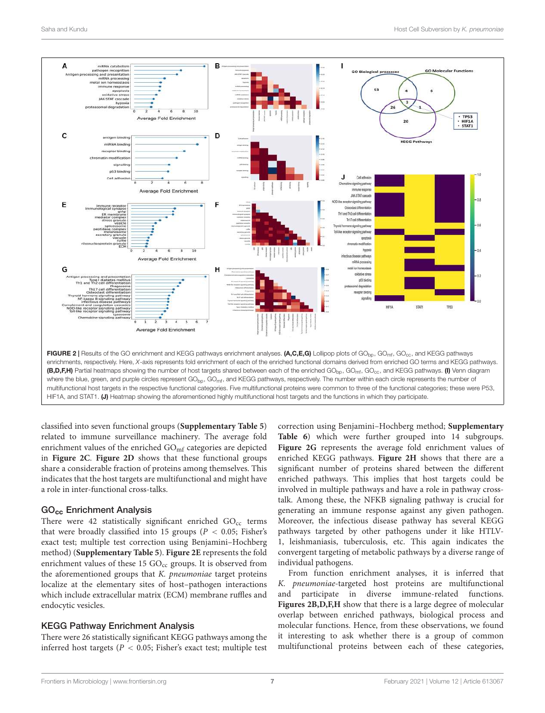

classified into seven functional groups (**Supplementary Table 5**) related to immune surveillance machinery. The average fold enrichment values of the enriched GO<sub>mf</sub> categories are depicted in **Figure 2C**. **Figure 2D** shows that these functional groups share a considerable fraction of proteins among themselves. This indicates that the host targets are multifunctional and might have a role in inter-functional cross-talks.

#### GOcc Enrichment Analysis

There were 42 statistically significant enriched  $GO_{cc}$  terms that were broadly classified into 15 groups ( $P < 0.05$ ; Fisher's exact test; multiple test correction using Benjamini–Hochberg method) (**Supplementary Table 5**). **Figure 2E** represents the fold enrichment values of these 15  $GO_{cc}$  groups. It is observed from the aforementioned groups that K. pneumoniae target proteins localize at the elementary sites of host–pathogen interactions which include extracellular matrix (ECM) membrane ruffles and endocytic vesicles.

#### KEGG Pathway Enrichment Analysis

There were 26 statistically significant KEGG pathways among the inferred host targets ( $P < 0.05$ ; Fisher's exact test; multiple test correction using Benjamini–Hochberg method; **Supplementary Table 6**) which were further grouped into 14 subgroups. **Figure 2G** represents the average fold enrichment values of enriched KEGG pathways. **Figure 2H** shows that there are a significant number of proteins shared between the different enriched pathways. This implies that host targets could be involved in multiple pathways and have a role in pathway crosstalk. Among these, the NFKB signaling pathway is crucial for generating an immune response against any given pathogen. Moreover, the infectious disease pathway has several KEGG pathways targeted by other pathogens under it like HTLV-1, leishmaniasis, tuberculosis, etc. This again indicates the convergent targeting of metabolic pathways by a diverse range of individual pathogens.

From function enrichment analyses, it is inferred that K. pneumoniae-targeted host proteins are multifunctional and participate in diverse immune-related functions. **Figures 2B,D,F,H** show that there is a large degree of molecular overlap between enriched pathways, biological process and molecular functions. Hence, from these observations, we found it interesting to ask whether there is a group of common multifunctional proteins between each of these categories,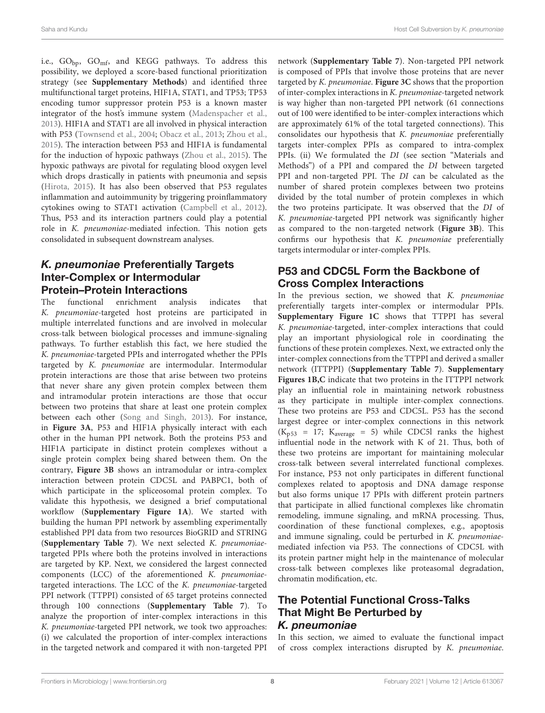i.e.,  $GO_{\text{bp}}$ ,  $GO_{\text{mf}}$ , and KEGG pathways. To address this possibility, we deployed a score-based functional prioritization strategy (see **Supplementary Methods**) and identified three multifunctional target proteins, HIF1A, STAT1, and TP53; TP53 encoding tumor suppressor protein P53 is a known master integrator of the host's immune system (Madenspacher et al., 2013). HIF1A and STAT1 are all involved in physical interaction with P53 (Townsend et al., 2004; Obacz et al., 2013; Zhou et al., 2015). The interaction between P53 and HIF1A is fundamental for the induction of hypoxic pathways (Zhou et al., 2015). The hypoxic pathways are pivotal for regulating blood oxygen level which drops drastically in patients with pneumonia and sepsis (Hirota, 2015). It has also been observed that P53 regulates inflammation and autoimmunity by triggering proinflammatory cytokines owing to STAT1 activation (Campbell et al., 2012). Thus, P53 and its interaction partners could play a potential role in K. pneumoniae-mediated infection. This notion gets consolidated in subsequent downstream analyses.

# *K. pneumoniae* Preferentially Targets Inter-Complex or Intermodular Protein–Protein Interactions

The functional enrichment analysis indicates that K. pneumoniae-targeted host proteins are participated in multiple interrelated functions and are involved in molecular cross-talk between biological processes and immune-signaling pathways. To further establish this fact, we here studied the K. pneumoniae-targeted PPIs and interrogated whether the PPIs targeted by K. pneumoniae are intermodular. Intermodular protein interactions are those that arise between two proteins that never share any given protein complex between them and intramodular protein interactions are those that occur between two proteins that share at least one protein complex between each other (Song and Singh, 2013). For instance, in **Figure 3A**, P53 and HIF1A physically interact with each other in the human PPI network. Both the proteins P53 and HIF1A participate in distinct protein complexes without a single protein complex being shared between them. On the contrary, **Figure 3B** shows an intramodular or intra-complex interaction between protein CDC5L and PABPC1, both of which participate in the spliceosomal protein complex. To validate this hypothesis, we designed a brief computational workflow (**Supplementary Figure 1A**). We started with building the human PPI network by assembling experimentally established PPI data from two resources BioGRID and STRING (**Supplementary Table 7**). We next selected K. pneumoniaetargeted PPIs where both the proteins involved in interactions are targeted by KP. Next, we considered the largest connected components (LCC) of the aforementioned K. pneumoniaetargeted interactions. The LCC of the K. pneumoniae-targeted PPI network (TTPPI) consisted of 65 target proteins connected through 100 connections (**Supplementary Table 7**). To analyze the proportion of inter-complex interactions in this K. pneumoniae-targeted PPI network, we took two approaches: (i) we calculated the proportion of inter-complex interactions in the targeted network and compared it with non-targeted PPI

network (**Supplementary Table 7**). Non-targeted PPI network is composed of PPIs that involve those proteins that are never targeted by K. pneumoniae. **Figure 3C** shows that the proportion of inter-complex interactions in K. pneumoniae-targeted network is way higher than non-targeted PPI network (61 connections out of 100 were identified to be inter-complex interactions which are approximately 61% of the total targeted connections). This consolidates our hypothesis that K. pneumoniae preferentially targets inter-complex PPIs as compared to intra-complex PPIs. (ii) We formulated the DI (see section "Materials and Methods") of a PPI and compared the DI between targeted PPI and non-targeted PPI. The DI can be calculated as the number of shared protein complexes between two proteins divided by the total number of protein complexes in which the two proteins participate. It was observed that the DI of K. pneumoniae-targeted PPI network was significantly higher as compared to the non-targeted network (**Figure 3B**). This confirms our hypothesis that K. pneumoniae preferentially targets intermodular or inter-complex PPIs.

# P53 and CDC5L Form the Backbone of Cross Complex Interactions

In the previous section, we showed that  $K$ . pneumoniae preferentially targets inter-complex or intermodular PPIs. **Supplementary Figure 1C** shows that TTPPI has several K. pneumoniae-targeted, inter-complex interactions that could play an important physiological role in coordinating the functions of these protein complexes. Next, we extracted only the inter-complex connections from the TTPPI and derived a smaller network (ITTPPI) (**Supplementary Table 7**). **Supplementary Figures 1B,C** indicate that two proteins in the ITTPPI network play an influential role in maintaining network robustness as they participate in multiple inter-complex connections. These two proteins are P53 and CDC5L. P53 has the second largest degree or inter-complex connections in this network  $(K<sub>p53</sub> = 17; K<sub>average</sub> = 5)$  while CDC5l ranks the highest influential node in the network with K of 21. Thus, both of these two proteins are important for maintaining molecular cross-talk between several interrelated functional complexes. For instance, P53 not only participates in different functional complexes related to apoptosis and DNA damage response but also forms unique 17 PPIs with different protein partners that participate in allied functional complexes like chromatin remodeling, immune signaling, and mRNA processing. Thus, coordination of these functional complexes, e.g., apoptosis and immune signaling, could be perturbed in K. pneumoniaemediated infection via P53. The connections of CDC5L with its protein partner might help in the maintenance of molecular cross-talk between complexes like proteasomal degradation, chromatin modification, etc.

# The Potential Functional Cross-Talks That Might Be Perturbed by *K. pneumoniae*

In this section, we aimed to evaluate the functional impact of cross complex interactions disrupted by K. pneumoniae.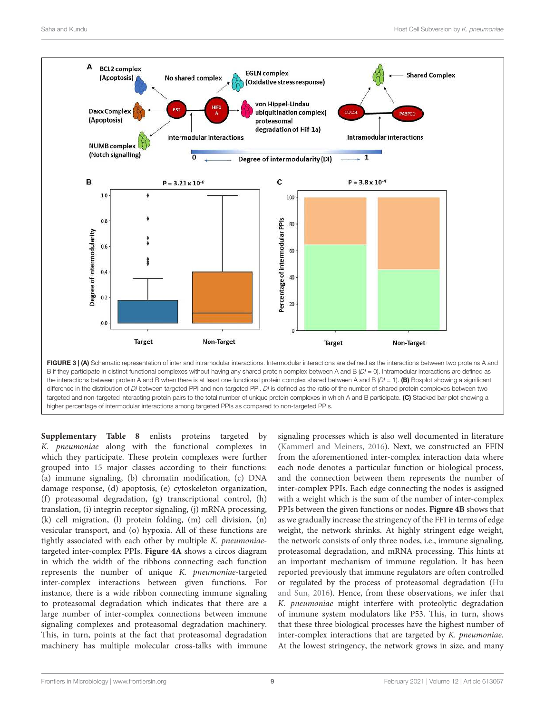

the interactions between protein A and B when there is at least one functional protein complex shared between A and B  $(DI = 1)$ . (B) Boxplot showing a significant difference in the distribution of DI between targeted PPI and non-targeted PPI. DI is defined as the ratio of the number of shared protein complexes between two targeted and non-targeted interacting protein pairs to the total number of unique protein complexes in which A and B participate. (C) Stacked bar plot showing a higher percentage of intermodular interactions among targeted PPIs as compared to non-targeted PPIs.

**Supplementary Table 8** enlists proteins targeted by K. pneumoniae along with the functional complexes in which they participate. These protein complexes were further grouped into 15 major classes according to their functions: (a) immune signaling, (b) chromatin modification, (c) DNA damage response, (d) apoptosis, (e) cytoskeleton organization, (f) proteasomal degradation, (g) transcriptional control, (h) translation, (i) integrin receptor signaling, (j) mRNA processing, (k) cell migration, (l) protein folding, (m) cell division, (n) vesicular transport, and (o) hypoxia. All of these functions are tightly associated with each other by multiple K. pneumoniaetargeted inter-complex PPIs. **Figure 4A** shows a circos diagram in which the width of the ribbons connecting each function represents the number of unique K. pneumoniae-targeted inter-complex interactions between given functions. For instance, there is a wide ribbon connecting immune signaling to proteasomal degradation which indicates that there are a large number of inter-complex connections between immune signaling complexes and proteasomal degradation machinery. This, in turn, points at the fact that proteasomal degradation machinery has multiple molecular cross-talks with immune signaling processes which is also well documented in literature (Kammerl and Meiners, 2016). Next, we constructed an FFIN from the aforementioned inter-complex interaction data where each node denotes a particular function or biological process, and the connection between them represents the number of inter-complex PPIs. Each edge connecting the nodes is assigned with a weight which is the sum of the number of inter-complex PPIs between the given functions or nodes. **Figure 4B** shows that as we gradually increase the stringency of the FFI in terms of edge weight, the network shrinks. At highly stringent edge weight, the network consists of only three nodes, i.e., immune signaling, proteasomal degradation, and mRNA processing. This hints at an important mechanism of immune regulation. It has been reported previously that immune regulators are often controlled or regulated by the process of proteasomal degradation (Hu and Sun, 2016). Hence, from these observations, we infer that K. pneumoniae might interfere with proteolytic degradation of immune system modulators like P53. This, in turn, shows that these three biological processes have the highest number of inter-complex interactions that are targeted by K. pneumoniae. At the lowest stringency, the network grows in size, and many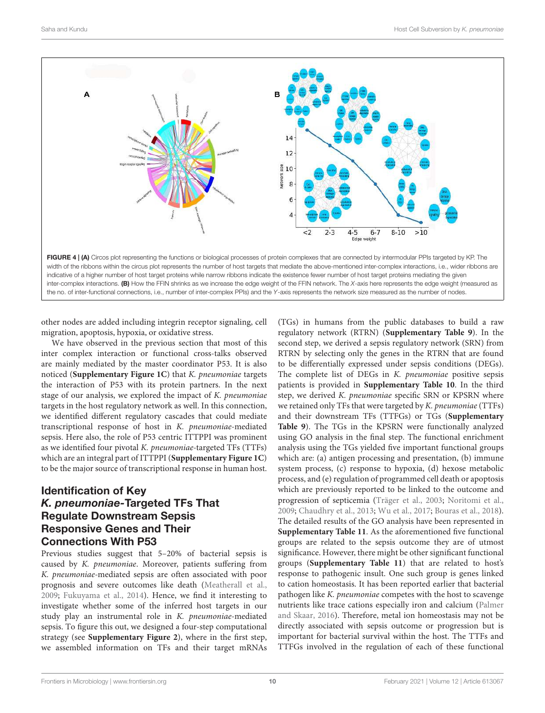

other nodes are added including integrin receptor signaling, cell migration, apoptosis, hypoxia, or oxidative stress.

We have observed in the previous section that most of this inter complex interaction or functional cross-talks observed are mainly mediated by the master coordinator P53. It is also noticed (**Supplementary Figure 1C**) that K. pneumoniae targets the interaction of P53 with its protein partners. In the next stage of our analysis, we explored the impact of K. pneumoniae targets in the host regulatory network as well. In this connection, we identified different regulatory cascades that could mediate transcriptional response of host in K. pneumoniae-mediated sepsis. Here also, the role of P53 centric ITTPPI was prominent as we identified four pivotal K. pneumoniae-targeted TFs (TTFs) which are an integral part of ITTPPI (**Supplementary Figure 1C**) to be the major source of transcriptional response in human host.

# Identification of Key *K. pneumoniae-*Targeted TFs That Regulate Downstream Sepsis Responsive Genes and Their Connections With P53

Previous studies suggest that 5–20% of bacterial sepsis is caused by K. pneumoniae. Moreover, patients suffering from K. pneumoniae-mediated sepsis are often associated with poor prognosis and severe outcomes like death (Meatherall et al., 2009; Fukuyama et al., 2014). Hence, we find it interesting to investigate whether some of the inferred host targets in our study play an instrumental role in K. pneumoniae-mediated sepsis. To figure this out, we designed a four-step computational strategy (see **Supplementary Figure 2**), where in the first step, we assembled information on TFs and their target mRNAs (TGs) in humans from the public databases to build a raw regulatory network (RTRN) (**Supplementary Table 9**). In the second step, we derived a sepsis regulatory network (SRN) from RTRN by selecting only the genes in the RTRN that are found to be differentially expressed under sepsis conditions (DEGs). The complete list of DEGs in K. pneumoniae positive sepsis patients is provided in **Supplementary Table 10**. In the third step, we derived K. pneumoniae specific SRN or KPSRN where we retained only TFs that were targeted by K. pneumoniae (TTFs) and their downstream TFs (TTFGs) or TGs (**Supplementary Table 9**). The TGs in the KPSRN were functionally analyzed using GO analysis in the final step. The functional enrichment analysis using the TGs yielded five important functional groups which are: (a) antigen processing and presentation, (b) immune system process, (c) response to hypoxia, (d) hexose metabolic process, and (e) regulation of programmed cell death or apoptosis which are previously reported to be linked to the outcome and progression of septicemia (Träger et al., 2003; Noritomi et al., 2009; Chaudhry et al., 2013; Wu et al., 2017; Bouras et al., 2018). The detailed results of the GO analysis have been represented in **Supplementary Table 11**. As the aforementioned five functional groups are related to the sepsis outcome they are of utmost significance. However, there might be other significant functional groups (**Supplementary Table 11**) that are related to host's response to pathogenic insult. One such group is genes linked to cation homeostasis. It has been reported earlier that bacterial pathogen like K. pneumoniae competes with the host to scavenge nutrients like trace cations especially iron and calcium (Palmer and Skaar, 2016). Therefore, metal ion homeostasis may not be directly associated with sepsis outcome or progression but is important for bacterial survival within the host. The TTFs and TTFGs involved in the regulation of each of these functional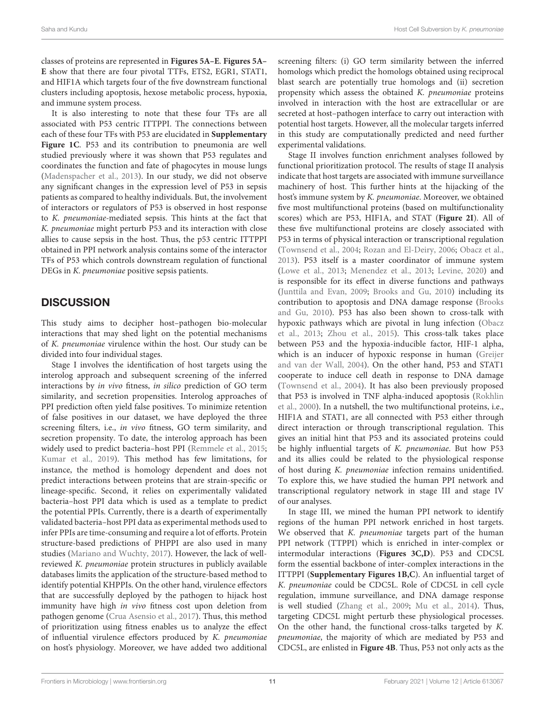classes of proteins are represented in **Figures 5A–E**. **Figures 5A– E** show that there are four pivotal TTFs, ETS2, EGR1, STAT1, and HIF1A which targets four of the five downstream functional clusters including apoptosis, hexose metabolic process, hypoxia, and immune system process.

It is also interesting to note that these four TFs are all associated with P53 centric ITTPPI. The connections between each of these four TFs with P53 are elucidated in **Supplementary Figure 1C**. P53 and its contribution to pneumonia are well studied previously where it was shown that P53 regulates and coordinates the function and fate of phagocytes in mouse lungs (Madenspacher et al., 2013). In our study, we did not observe any significant changes in the expression level of P53 in sepsis patients as compared to healthy individuals. But, the involvement of interactors or regulators of P53 is observed in host response to K. pneumoniae-mediated sepsis. This hints at the fact that K. pneumoniae might perturb P53 and its interaction with close allies to cause sepsis in the host. Thus, the p53 centric ITTPPI obtained in PPI network analysis contains some of the interactor TFs of P53 which controls downstream regulation of functional DEGs in K. pneumoniae positive sepsis patients.

# **DISCUSSION**

This study aims to decipher host–pathogen bio-molecular interactions that may shed light on the potential mechanisms of K. pneumoniae virulence within the host. Our study can be divided into four individual stages.

Stage I involves the identification of host targets using the interolog approach and subsequent screening of the inferred interactions by in vivo fitness, in silico prediction of GO term similarity, and secretion propensities. Interolog approaches of PPI prediction often yield false positives. To minimize retention of false positives in our dataset, we have deployed the three screening filters, i.e., in vivo fitness, GO term similarity, and secretion propensity. To date, the interolog approach has been widely used to predict bacteria–host PPI (Remmele et al., 2015; Kumar et al., 2019). This method has few limitations, for instance, the method is homology dependent and does not predict interactions between proteins that are strain-specific or lineage-specific. Second, it relies on experimentally validated bacteria–host PPI data which is used as a template to predict the potential PPIs. Currently, there is a dearth of experimentally validated bacteria–host PPI data as experimental methods used to infer PPIs are time-consuming and require a lot of efforts. Protein structure-based predictions of PHPPI are also used in many studies (Mariano and Wuchty, 2017). However, the lack of wellreviewed K. pneumoniae protein structures in publicly available databases limits the application of the structure-based method to identify potential KHPPIs. On the other hand, virulence effectors that are successfully deployed by the pathogen to hijack host immunity have high in vivo fitness cost upon deletion from pathogen genome (Crua Asensio et al., 2017). Thus, this method of prioritization using fitness enables us to analyze the effect of influential virulence effectors produced by K. pneumoniae on host's physiology. Moreover, we have added two additional

screening filters: (i) GO term similarity between the inferred homologs which predict the homologs obtained using reciprocal blast search are potentially true homologs and (ii) secretion propensity which assess the obtained K. pneumoniae proteins involved in interaction with the host are extracellular or are secreted at host–pathogen interface to carry out interaction with potential host targets. However, all the molecular targets inferred in this study are computationally predicted and need further experimental validations.

Stage II involves function enrichment analyses followed by functional prioritization protocol. The results of stage II analysis indicate that host targets are associated with immune surveillance machinery of host. This further hints at the hijacking of the host's immune system by K. pneumoniae. Moreover, we obtained five most multifunctional proteins (based on multifunctionality scores) which are P53, HIF1A, and STAT (**Figure 2I**). All of these five multifunctional proteins are closely associated with P53 in terms of physical interaction or transcriptional regulation (Townsend et al., 2004; Rozan and El-Deiry, 2006; Obacz et al., 2013). P53 itself is a master coordinator of immune system (Lowe et al., 2013; Menendez et al., 2013; Levine, 2020) and is responsible for its effect in diverse functions and pathways (Junttila and Evan, 2009; Brooks and Gu, 2010) including its contribution to apoptosis and DNA damage response (Brooks and Gu, 2010). P53 has also been shown to cross-talk with hypoxic pathways which are pivotal in lung infection (Obacz et al., 2013; Zhou et al., 2015). This cross-talk takes place between P53 and the hypoxia-inducible factor, HIF-1 alpha, which is an inducer of hypoxic response in human (Greijer and van der Wall, 2004). On the other hand, P53 and STAT1 cooperate to induce cell death in response to DNA damage (Townsend et al., 2004). It has also been previously proposed that P53 is involved in TNF alpha-induced apoptosis (Rokhlin et al., 2000). In a nutshell, the two multifunctional proteins, i.e., HIF1A and STAT1, are all connected with P53 either through direct interaction or through transcriptional regulation. This gives an initial hint that P53 and its associated proteins could be highly influential targets of K. pneumoniae. But how P53 and its allies could be related to the physiological response of host during K. pneumoniae infection remains unidentified. To explore this, we have studied the human PPI network and transcriptional regulatory network in stage III and stage IV of our analyses.

In stage III, we mined the human PPI network to identify regions of the human PPI network enriched in host targets. We observed that K. pneumoniae targets part of the human PPI network (TTPPI) which is enriched in inter-complex or intermodular interactions (**Figures 3C,D**). P53 and CDC5L form the essential backbone of inter-complex interactions in the ITTPPI (**Supplementary Figures 1B,C**). An influential target of K. pneumoniae could be CDC5L. Role of CDC5L in cell cycle regulation, immune surveillance, and DNA damage response is well studied (Zhang et al., 2009; Mu et al., 2014). Thus, targeting CDC5L might perturb these physiological processes. On the other hand, the functional cross-talks targeted by K. pneumoniae, the majority of which are mediated by P53 and CDC5L, are enlisted in **Figure 4B**. Thus, P53 not only acts as the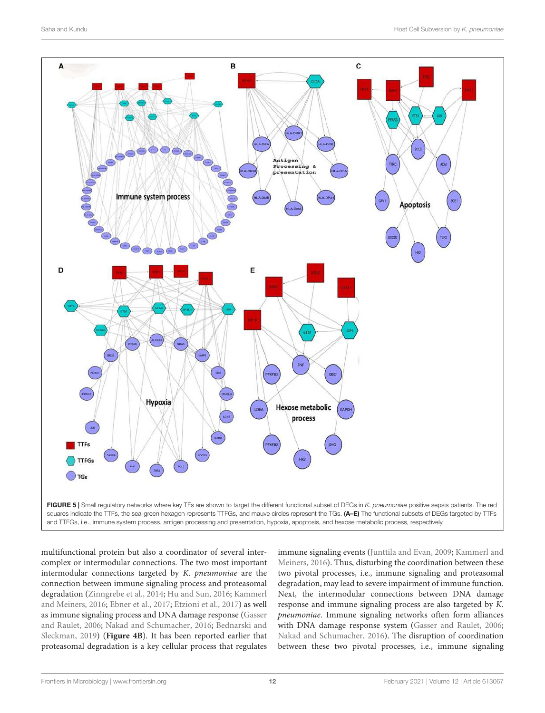

multifunctional protein but also a coordinator of several intercomplex or intermodular connections. The two most important intermodular connections targeted by K. pneumoniae are the connection between immune signaling process and proteasomal degradation (Zinngrebe et al., 2014; Hu and Sun, 2016; Kammerl and Meiners, 2016; Ebner et al., 2017; Etzioni et al., 2017) as well as immune signaling process and DNA damage response (Gasser and Raulet, 2006; Nakad and Schumacher, 2016; Bednarski and Sleckman, 2019) (**Figure 4B**). It has been reported earlier that proteasomal degradation is a key cellular process that regulates immune signaling events (Junttila and Evan, 2009; Kammerl and Meiners, 2016). Thus, disturbing the coordination between these two pivotal processes, i.e., immune signaling and proteasomal degradation, may lead to severe impairment of immune function. Next, the intermodular connections between DNA damage response and immune signaling process are also targeted by K. pneumoniae. Immune signaling networks often form alliances with DNA damage response system (Gasser and Raulet, 2006; Nakad and Schumacher, 2016). The disruption of coordination between these two pivotal processes, i.e., immune signaling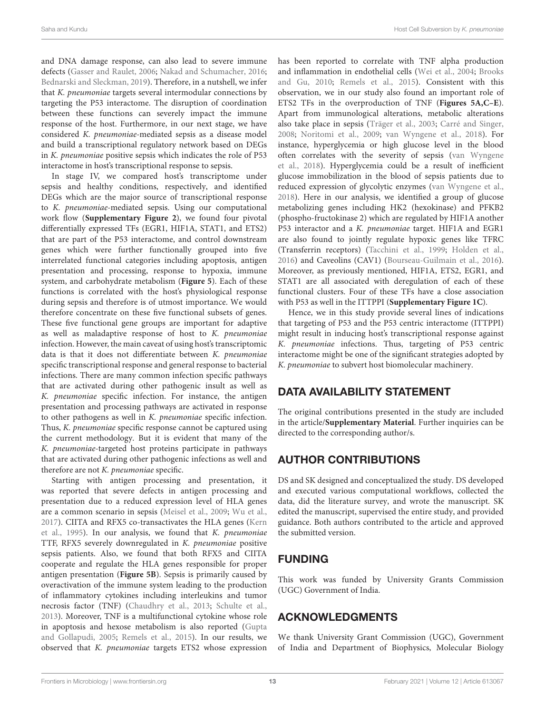and DNA damage response, can also lead to severe immune defects (Gasser and Raulet, 2006; Nakad and Schumacher, 2016; Bednarski and Sleckman, 2019). Therefore, in a nutshell, we infer that K. pneumoniae targets several intermodular connections by targeting the P53 interactome. The disruption of coordination between these functions can severely impact the immune response of the host. Furthermore, in our next stage, we have considered K. pneumoniae-mediated sepsis as a disease model and build a transcriptional regulatory network based on DEGs in K. pneumoniae positive sepsis which indicates the role of P53 interactome in host's transcriptional response to sepsis.

In stage IV, we compared host's transcriptome under sepsis and healthy conditions, respectively, and identified DEGs which are the major source of transcriptional response to K. pneumoniae-mediated sepsis. Using our computational work flow (**Supplementary Figure 2**), we found four pivotal differentially expressed TFs (EGR1, HIF1A, STAT1, and ETS2) that are part of the P53 interactome, and control downstream genes which were further functionally grouped into five interrelated functional categories including apoptosis, antigen presentation and processing, response to hypoxia, immune system, and carbohydrate metabolism (**Figure 5**). Each of these functions is correlated with the host's physiological response during sepsis and therefore is of utmost importance. We would therefore concentrate on these five functional subsets of genes. These five functional gene groups are important for adaptive as well as maladaptive response of host to K. pneumoniae infection. However, the main caveat of using host's transcriptomic data is that it does not differentiate between K. pneumoniae specific transcriptional response and general response to bacterial infections. There are many common infection specific pathways that are activated during other pathogenic insult as well as K. pneumoniae specific infection. For instance, the antigen presentation and processing pathways are activated in response to other pathogens as well in K. pneumoniae specific infection. Thus, K. pneumoniae specific response cannot be captured using the current methodology. But it is evident that many of the K. pneumoniae-targeted host proteins participate in pathways that are activated during other pathogenic infections as well and therefore are not K. pneumoniae specific.

Starting with antigen processing and presentation, it was reported that severe defects in antigen processing and presentation due to a reduced expression level of HLA genes are a common scenario in sepsis (Meisel et al., 2009; Wu et al., 2017). CIITA and RFX5 co-transactivates the HLA genes (Kern et al., 1995). In our analysis, we found that K. pneumoniae TTF, RFX5 severely downregulated in K. pneumoniae positive sepsis patients. Also, we found that both RFX5 and CIITA cooperate and regulate the HLA genes responsible for proper antigen presentation (**Figure 5B**). Sepsis is primarily caused by overactivation of the immune system leading to the production of inflammatory cytokines including interleukins and tumor necrosis factor (TNF) (Chaudhry et al., 2013; Schulte et al., 2013). Moreover, TNF is a multifunctional cytokine whose role in apoptosis and hexose metabolism is also reported (Gupta and Gollapudi, 2005; Remels et al., 2015). In our results, we observed that K. pneumoniae targets ETS2 whose expression

has been reported to correlate with TNF alpha production and inflammation in endothelial cells (Wei et al., 2004; Brooks and Gu, 2010; Remels et al., 2015). Consistent with this observation, we in our study also found an important role of ETS2 TFs in the overproduction of TNF (**Figures 5A,C–E**). Apart from immunological alterations, metabolic alterations also take place in sepsis (Träger et al., 2003; Carré and Singer, 2008; Noritomi et al., 2009; van Wyngene et al., 2018). For instance, hyperglycemia or high glucose level in the blood often correlates with the severity of sepsis (van Wyngene et al., 2018). Hyperglycemia could be a result of inefficient glucose immobilization in the blood of sepsis patients due to reduced expression of glycolytic enzymes (van Wyngene et al., 2018). Here in our analysis, we identified a group of glucose metabolizing genes including HK2 (hexokinase) and PFKB2 (phospho-fructokinase 2) which are regulated by HIF1A another P53 interactor and a K. pneumoniae target. HIF1A and EGR1 are also found to jointly regulate hypoxic genes like TFRC (Transferrin receptors) (Tacchini et al., 1999; Holden et al., 2016) and Caveolins (CAV1) (Bourseau-Guilmain et al., 2016). Moreover, as previously mentioned, HIF1A, ETS2, EGR1, and STAT1 are all associated with deregulation of each of these functional clusters. Four of these TFs have a close association with P53 as well in the ITTPPI (**Supplementary Figure 1C**).

Hence, we in this study provide several lines of indications that targeting of P53 and the P53 centric interactome (ITTPPI) might result in inducing host's transcriptional response against K. pneumoniae infections. Thus, targeting of P53 centric interactome might be one of the significant strategies adopted by K. pneumoniae to subvert host biomolecular machinery.

# DATA AVAILABILITY STATEMENT

The original contributions presented in the study are included in the article/**Supplementary Material**. Further inquiries can be directed to the corresponding author/s.

# AUTHOR CONTRIBUTIONS

DS and SK designed and conceptualized the study. DS developed and executed various computational workflows, collected the data, did the literature survey, and wrote the manuscript. SK edited the manuscript, supervised the entire study, and provided guidance. Both authors contributed to the article and approved the submitted version.

# FUNDING

This work was funded by University Grants Commission (UGC) Government of India.

# ACKNOWLEDGMENTS

We thank University Grant Commission (UGC), Government of India and Department of Biophysics, Molecular Biology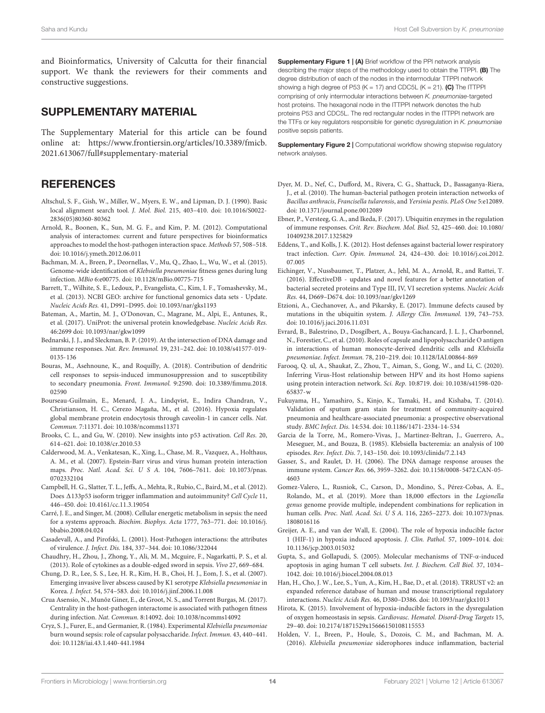and Bioinformatics, University of Calcutta for their financial support. We thank the reviewers for their comments and constructive suggestions.

#### SUPPLEMENTARY MATERIAL

The Supplementary Material for this article can be found online at: https://www.frontiersin.org/articles/10.3389/fmicb. 2021.613067/full#supplementary-material

### **REFERENCES**

- Altschul, S. F., Gish, W., Miller, W., Myers, E. W., and Lipman, D. J. (1990). Basic local alignment search tool. J. Mol. Biol. 215, 403–410. doi: 10.1016/S0022- 2836(05)80360-80362
- Arnold, R., Boonen, K., Sun, M. G. F., and Kim, P. M. (2012). Computational analysis of interactomes: current and future perspectives for bioinformatics approaches to model the host-pathogen interaction space. Methods 57, 508–518. doi: 10.1016/j.ymeth.2012.06.011
- Bachman, M. A., Breen, P., Deornellas, V., Mu, Q., Zhao, L., Wu, W., et al. (2015). Genome-wide identification of Klebsiella pneumoniae fitness genes during lung infection. MBio 6:e00775. doi: 10.1128/mBio.00775-715
- Barrett, T., Wilhite, S. E., Ledoux, P., Evangelista, C., Kim, I. F., Tomashevsky, M., et al. (2013). NCBI GEO: archive for functional genomics data sets - Update. Nucleic Acids Res. 41, D991–D995. doi: 10.1093/nar/gks1193
- Bateman, A., Martin, M. J., O'Donovan, C., Magrane, M., Alpi, E., Antunes, R., et al. (2017). UniProt: the universal protein knowledgebase. Nucleic Acids Res. 46:2699 doi: 10.1093/nar/gkw1099
- Bednarski, J. J., and Sleckman, B. P. (2019). At the intersection of DNA damage and immune responses. Nat. Rev. Immunol. 19, 231–242. doi: 10.1038/s41577-019- 0135-136
- Bouras, M., Asehnoune, K., and Roquilly, A. (2018). Contribution of dendritic cell responses to sepsis-induced immunosuppression and to susceptibility to secondary pneumonia. Front. Immunol. 9:2590. doi: 10.3389/fimmu.2018. 02590
- Bourseau-Guilmain, E., Menard, J. A., Lindqvist, E., Indira Chandran, V., Christianson, H. C., Cerezo Magaña, M., et al. (2016). Hypoxia regulates global membrane protein endocytosis through caveolin-1 in cancer cells. Nat. Commun. 7:11371. doi: 10.1038/ncomms11371
- Brooks, C. L., and Gu, W. (2010). New insights into p53 activation. Cell Res. 20, 614–621. doi: 10.1038/cr.2010.53
- Calderwood, M. A., Venkatesan, K., Xing, L., Chase, M. R., Vazquez, A., Holthaus, A. M., et al. (2007). Epstein-Barr virus and virus human protein interaction maps. Proc. Natl. Acad. Sci. U S A. 104, 7606–7611. doi: 10.1073/pnas. 0702332104
- Campbell, H. G., Slatter, T. L., Jeffs, A., Mehta, R., Rubio, C., Baird, M., et al. (2012). Does  $\Delta$ 133p53 isoform trigger inflammation and autoimmunity? Cell Cycle 11, 446–450. doi: 10.4161/cc.11.3.19054
- Carré, J. E., and Singer, M. (2008). Cellular energetic metabolism in sepsis: the need for a systems approach. Biochim. Biophys. Acta 1777, 763–771. doi: 10.1016/j. bbabio.2008.04.024
- Casadevall, A., and Pirofski, L. (2001). Host-Pathogen interactions: the attributes of virulence. J. Infect. Dis. 184, 337–344. doi: 10.1086/322044
- Chaudhry, H., Zhou, J., Zhong, Y., Ali, M. M., Mcguire, F., Nagarkatti, P. S., et al. (2013). Role of cytokines as a double-edged sword in sepsis. Vivo 27, 669–684.
- Chung, D. R., Lee, S. S., Lee, H. R., Kim, H. B., Choi, H. J., Eom, J. S., et al. (2007). Emerging invasive liver abscess caused by K1 serotype Klebsiella pneumoniae in Korea. J. Infect. 54, 574–583. doi: 10.1016/j.jinf.2006.11.008
- Crua Asensio, N., Munõz Giner, E., de Groot, N. S., and Torrent Burgas, M. (2017). Centrality in the host-pathogen interactome is associated with pathogen fitness during infection. Nat. Commun. 8:14092. doi: 10.1038/ncomms14092
- Cryz, S. J., Furer, E., and Germanier, R. (1984). Experimental Klebsiella pneumoniae burn wound sepsis: role of capsular polysaccharide. Infect. Immun. 43, 440–441. doi: 10.1128/iai.43.1.440-441.1984

Supplementary Figure 1 | (A) Brief workflow of the PPI network analysis describing the major steps of the methodology used to obtain the TTPPI. (B) The degree distribution of each of the nodes in the intermodular TTPPI network showing a high degree of P53 (K = 17) and CDC5L (K = 21). (C) The ITTPPI comprising of only intermodular interactions between K. pneumoniae-targeted host proteins. The hexagonal node in the ITTPPI network denotes the hub proteins P53 and CDC5L. The red rectangular nodes in the ITTPPI network are the TTFs or key regulators responsible for genetic dysregulation in K. pneumoniae positive sepsis patients.

**Supplementary Figure 2 | Computational workflow showing stepwise regulatory** network analyses.

- Dyer, M. D., Nef, C., Dufford, M., Rivera, C. G., Shattuck, D., Bassaganya-Riera, J., et al. (2010). The human-bacterial pathogen protein interaction networks of Bacillus anthracis, Francisella tularensis, and Yersinia pestis. PLoS One 5:e12089. doi: 10.1371/journal.pone.0012089
- Ebner, P., Versteeg, G. A., and Ikeda, F. (2017). Ubiquitin enzymes in the regulation of immune responses. Crit. Rev. Biochem. Mol. Biol. 52, 425–460. doi: 10.1080/ 10409238.2017.1325829
- Eddens, T., and Kolls, J. K. (2012). Host defenses against bacterial lower respiratory tract infection. Curr. Opin. Immunol. 24, 424–430. doi: 10.1016/j.coi.2012. 07.005
- Eichinger, V., Nussbaumer, T., Platzer, A., Jehl, M. A., Arnold, R., and Rattei, T. (2016). EffectiveDB - updates and novel features for a better annotation of bacterial secreted proteins and Type III, IV, VI secretion systems. Nucleic Acids Res. 44, D669–D674. doi: 10.1093/nar/gkv1269
- Etzioni, A., Ciechanover, A., and Pikarsky, E. (2017). Immune defects caused by mutations in the ubiquitin system. J. Allergy Clin. Immunol. 139, 743–753. doi: 10.1016/j.jaci.2016.11.031
- Evrard, B., Balestrino, D., Dosgilbert, A., Bouya-Gachancard, J. L. J., Charbonnel, N., Forestier, C., et al. (2010). Roles of capsule and lipopolysaccharide O antigen in interactions of human monocyte-derived dendritic cells and Klebsiella pneumoniae. Infect. Immun. 78, 210–219. doi: 10.1128/IAI.00864-869
- Farooq, Q. ul, A., Shaukat, Z., Zhou, T., Aiman, S., Gong, W., and Li, C. (2020). Inferring Virus-Host relationship between HPV and its host Homo sapiens using protein interaction network. Sci. Rep. 10:8719. doi: 10.1038/s41598-020- 65837-w
- Fukuyama, H., Yamashiro, S., Kinjo, K., Tamaki, H., and Kishaba, T. (2014). Validation of sputum gram stain for treatment of community-acquired pneumonia and healthcare-associated pneumonia: a prospective observational study. BMC Infect. Dis. 14:534. doi: 10.1186/1471-2334-14-534
- Garcia de la Torre, M., Romero-Vivas, J., Martinez-Beltran, J., Guerrero, A., Meseguer, M., and Bouza, B. (1985). Klebsiella bacteremia: an analysis of 100 episodes. Rev. Infect. Dis. 7, 143–150. doi: 10.1093/clinids/7.2.143
- Gasser, S., and Raulet, D. H. (2006). The DNA damage response arouses the immune system. Cancer Res. 66, 3959–3262. doi: 10.1158/0008-5472.CAN-05- 4603
- Gomez-Valero, L., Rusniok, C., Carson, D., Mondino, S., Pérez-Cobas, A. E., Rolando, M., et al. (2019). More than 18,000 effectors in the Legionella genus genome provide multiple, independent combinations for replication in human cells. Proc. Natl. Acad. Sci. U S A. 116, 2265–2273. doi: 10.1073/pnas. 1808016116
- Greijer, A. E., and van der Wall, E. (2004). The role of hypoxia inducible factor 1 (HIF-1) in hypoxia induced apoptosis. J. Clin. Pathol. 57, 1009–1014. doi: 10.1136/jcp.2003.015032
- Gupta, S., and Gollapudi, S. (2005). Molecular mechanisms of TNF-α-induced apoptosis in aging human T cell subsets. Int. J. Biochem. Cell Biol. 37, 1034– 1042. doi: 10.1016/j.biocel.2004.08.013
- Han, H., Cho, J. W., Lee, S., Yun, A., Kim, H., Bae, D., et al. (2018). TRRUST v2: an expanded reference database of human and mouse transcriptional regulatory interactions. Nucleic Acids Res. 46, D380–D386. doi: 10.1093/nar/gkx1013
- Hirota, K. (2015). Involvement of hypoxia-inducible factors in the dysregulation of oxygen homeostasis in sepsis. Cardiovasc. Hematol. Disord-Drug Targets 15, 29–40. doi: 10.2174/1871529x15666150108115553
- Holden, V. I., Breen, P., Houle, S., Dozois, C. M., and Bachman, M. A. (2016). Klebsiella pneumoniae siderophores induce inflammation, bacterial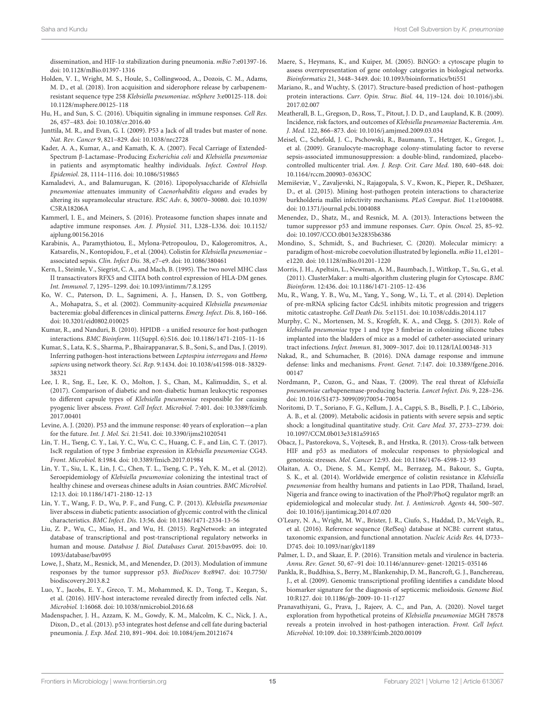dissemination, and HIF-1α stabilization during pneumonia. mBio 7:e01397-16. doi: 10.1128/mBio.01397-1316

- Holden, V. I., Wright, M. S., Houle, S., Collingwood, A., Dozois, C. M., Adams, M. D., et al. (2018). Iron acquisition and siderophore release by carbapenemresistant sequence type 258 Klebsiella pneumoniae. mSphere 3:e00125-118. doi: 10.1128/msphere.00125-118
- Hu, H., and Sun, S. C. (2016). Ubiquitin signaling in immune responses. Cell Res. 26, 457–483. doi: 10.1038/cr.2016.40
- Junttila, M. R., and Evan, G. I. (2009). P53 a Jack of all trades but master of none. Nat. Rev. Cancer 9, 821–829. doi: 10.1038/nrc2728
- Kader, A. A., Kumar, A., and Kamath, K. A. (2007). Fecal Carriage of Extended-Spectrum β-Lactamase–Producing Escherichia coli and Klebsiella pneumoniae in patients and asymptomatic healthy individuals. Infect. Control Hosp. Epidemiol. 28, 1114–1116. doi: 10.1086/519865
- Kamaladevi, A., and Balamurugan, K. (2016). Lipopolysaccharide of Klebsiella pneumoniae attenuates immunity of Caenorhabditis elegans and evades by altering its supramolecular structure. RSC Adv. 6, 30070–30080. doi: 10.1039/ C5RA18206A
- Kammerl, I. E., and Meiners, S. (2016). Proteasome function shapes innate and adaptive immune responses. Am. J. Physiol. 311, L328–L336. doi: 10.1152/ ajplung.00156.2016
- Karabinis, A., Paramythiotou, E., Mylona-Petropoulou, D., Kalogeromitros, A., Katsarelis, N., Kontopidou, F., et al. (2004). Colistin for Klebsiella pneumoniae – associated sepsis. Clin. Infect Dis. 38, e7–e9. doi: 10.1086/380461
- Kern, I., Steimle, V., Siegrist, C. A., and Mach, B. (1995). The two novel MHC class II transactivators RFX5 and CIITA both control expression of HLA-DM genes. Int. Immunol. 7, 1295–1299. doi: 10.1093/intimm/7.8.1295
- Ko, W. C., Paterson, D. L., Sagnimeni, A. J., Hansen, D. S., von Gottberg, A., Mohapatra, S., et al. (2002). Community-acquired Klebsiella pneumoniae bacteremia: global differences in clinical patterns. Emerg. Infect. Dis. 8, 160–166. doi: 10.3201/eid0802.010025
- Kumar, R., and Nanduri, B. (2010). HPIDB a unified resource for host-pathogen interactions. BMC Bioinform. 11(Suppl. 6):S16. doi: 10.1186/1471-2105-11-16
- Kumar, S., Lata, K. S., Sharma, P., Bhairappanavar, S. B., Soni, S., and Das, J. (2019). Inferring pathogen-host interactions between Leptospira interrogans and Homo sapiens using network theory. Sci. Rep. 9:1434. doi: 10.1038/s41598-018-38329- 38321
- Lee, I. R., Sng, E., Lee, K. O., Molton, J. S., Chan, M., Kalimuddin, S., et al. (2017). Comparison of diabetic and non-diabetic human leukocytic responses to different capsule types of Klebsiella pneumoniae responsible for causing pyogenic liver abscess. Front. Cell Infect. Microbiol. 7:401. doi: 10.3389/fcimb. 2017.00401
- Levine, A. J. (2020). P53 and the immune response: 40 years of exploration—a plan for the future. Int. J. Mol. Sci. 21:541. doi: 10.3390/ijms21020541
- Lin, T. H., Tseng, C. Y., Lai, Y. C., Wu, C. C., Huang, C. F., and Lin, C. T. (2017). IscR regulation of type 3 fimbriae expression in Klebsiella pneumoniae CG43. Front. Microbiol. 8:1984. doi: 10.3389/fmicb.2017.01984
- Lin, Y. T., Siu, L. K., Lin, J. C., Chen, T. L., Tseng, C. P., Yeh, K. M., et al. (2012). Seroepidemiology of Klebsiella pneumoniae colonizing the intestinal tract of healthy chinese and overseas chinese adults in Asian countries. BMC Microbiol. 12:13. doi: 10.1186/1471-2180-12-13
- Lin, Y. T., Wang, F. D., Wu, P. F., and Fung, C. P. (2013). Klebsiella pneumoniae liver abscess in diabetic patients: association of glycemic control with the clinical characteristics. BMC Infect. Dis. 13:56. doi: 10.1186/1471-2334-13-56
- Liu, Z. P., Wu, C., Miao, H., and Wu, H. (2015). RegNetwork: an integrated database of transcriptional and post-transcriptional regulatory networks in human and mouse. Database J. Biol. Databases Curat. 2015:bav095. doi: 10. 1093/database/bav095
- Lowe, J., Shatz, M., Resnick, M., and Menendez, D. (2013). Modulation of immune responses by the tumor suppressor p53. BioDiscov 8:e8947. doi: 10.7750/ biodiscovery.2013.8.2
- Luo, Y., Jacobs, E. Y., Greco, T. M., Mohammed, K. D., Tong, T., Keegan, S., et al. (2016). HIV-host interactome revealed directly from infected cells. Nat. Microbiol. 1:16068. doi: 10.1038/nmicrobiol.2016.68
- Madenspacher, J. H., Azzam, K. M., Gowdy, K. M., Malcolm, K. C., Nick, J. A., Dixon, D., et al. (2013). p53 integrates host defense and cell fate during bacterial pneumonia. J. Exp. Med. 210, 891–904. doi: 10.1084/jem.20121674
- Maere, S., Heymans, K., and Kuiper, M. (2005). BiNGO: a cytoscape plugin to assess overrepresentation of gene ontology categories in biological networks. Bioinformatics 21, 3448–3449. doi: 10.1093/bioinformatics/bti551
- Mariano, R., and Wuchty, S. (2017). Structure-based prediction of host–pathogen protein interactions. Curr. Opin. Struc. Biol. 44, 119–124. doi: 10.1016/j.sbi. 2017.02.007
- Meatherall, B. L., Gregson, D., Ross, T., Pitout, J. D. D., and Laupland, K. B. (2009). Incidence, risk factors, and outcomes of Klebsiella pneumoniae Bacteremia. Am. J. Med. 122, 866–873. doi: 10.1016/j.amjmed.2009.03.034
- Meisel, C., Schefold, J. C., Pschowski, R., Baumann, T., Hetzger, K., Gregor, J., et al. (2009). Granulocyte-macrophage colony-stimulating factor to reverse sepsis-associated immunosuppression: a double-blind, randomized, placebocontrolled multicenter trial. Am. J. Resp. Crit. Care Med. 180, 640–648. doi: 10.1164/rccm.200903-0363OC
- Memiševiæ, V., Zavaljevski, N., Rajagopala, S. V., Kwon, K., Pieper, R., DeShazer, D., et al. (2015). Mining host-pathogen protein interactions to characterize burkholderia mallei infectivity mechanisms. PLoS Comput. Biol. 11:e1004088. doi: 10.1371/journal.pcbi.1004088
- Menendez, D., Shatz, M., and Resnick, M. A. (2013). Interactions between the tumor suppressor p53 and immune responses. Curr. Opin. Oncol. 25, 85–92. doi: 10.1097/CCO.0b013e32835b6386
- Mondino, S., Schmidt, S., and Buchrieser, C. (2020). Molecular mimicry: a paradigm of host-microbe coevolution illustrated by legionella. mBio 11, e1201e1220. doi: 10.1128/mBio.01201-1220
- Morris, J. H., Apeltsin, L., Newman, A. M., Baumbach, J., Wittkop, T., Su, G., et al. (2011). ClusterMaker: a multi-algorithm clustering plugin for Cytoscape. BMC Bioinform. 12:436. doi: 10.1186/1471-2105-12-436
- Mu, R., Wang, Y. B., Wu, M., Yang, Y., Song, W., Li, T., et al. (2014). Depletion of pre-mRNA splicing factor Cdc5L inhibits mitotic progression and triggers mitotic catastrophe. Cell Death Dis. 5:e1151. doi: 10.1038/cddis.2014.117
- Murphy, C. N., Mortensen, M. S., Krogfelt, K. A., and Clegg, S. (2013). Role of klebsiella pneumoniae type 1 and type 3 fimbriae in colonizing silicone tubes implanted into the bladders of mice as a model of catheter-associated urinary tract infections. Infect. Immun. 81, 3009–3017. doi: 10.1128/IAI.00348-313
- Nakad, R., and Schumacher, B. (2016). DNA damage response and immune defense: links and mechanisms. Front. Genet. 7:147. doi: 10.3389/fgene.2016. 00147
- Nordmann, P., Cuzon, G., and Naas, T. (2009). The real threat of Klebsiella pneumoniae carbapenemase-producing bacteria. Lancet Infect. Dis. 9, 228–236. doi: 10.1016/S1473-3099(09)70054-70054
- Noritomi, D. T., Soriano, F. G., Kellum, J. A., Cappi, S. B., Biselli, P. J. C., Libório, A. B., et al. (2009). Metabolic acidosis in patients with severe sepsis and septic shock: a longitudinal quantitative study. Crit. Care Med. 37, 2733–2739. doi: 10.1097/CCM.0b013e3181a59165
- Obacz, J., Pastorekova, S., Vojtesek, B., and Hrstka, R. (2013). Cross-talk between HIF and p53 as mediators of molecular responses to physiological and genotoxic stresses. Mol. Cancer 12:93. doi: 10.1186/1476-4598-12-93
- Olaitan, A. O., Diene, S. M., Kempf, M., Berrazeg, M., Bakour, S., Gupta, S. K., et al. (2014). Worldwide emergence of colistin resistance in Klebsiella pneumoniae from healthy humans and patients in Lao PDR, Thailand, Israel, Nigeria and france owing to inactivation of the PhoP/PhoQ regulator mgrB: an epidemiological and molecular study. Int. J. Antimicrob. Agents 44, 500–507. doi: 10.1016/j.ijantimicag.2014.07.020
- O'Leary, N. A., Wright, M. W., Brister, J. R., Ciufo, S., Haddad, D., McVeigh, R., et al. (2016). Reference sequence (RefSeq) database at NCBI: current status, taxonomic expansion, and functional annotation. Nucleic Acids Res. 44, D733– D745. doi: 10.1093/nar/gkv1189
- Palmer, L. D., and Skaar, E. P. (2016). Transition metals and virulence in bacteria. Annu. Rev. Genet. 50, 67–91 doi: 10.1146/annurev-genet-120215-035146
- Pankla, R., Buddhisa, S., Berry, M., Blankenship, D. M., Bancroft, G. J., Banchereau, J., et al. (2009). Genomic transcriptional profiling identifies a candidate blood biomarker signature for the diagnosis of septicemic melioidosis. Genome Biol. 10:R127. doi: 10.1186/gb-2009-10-11-r127
- Pranavathiyani, G., Prava, J., Rajeev, A. C., and Pan, A. (2020). Novel target exploration from hypothetical proteins of Klebsiella pneumoniae MGH 78578 reveals a protein involved in host-pathogen interaction. Front. Cell Infect. Microbiol. 10:109. doi: 10.3389/fcimb.2020.00109